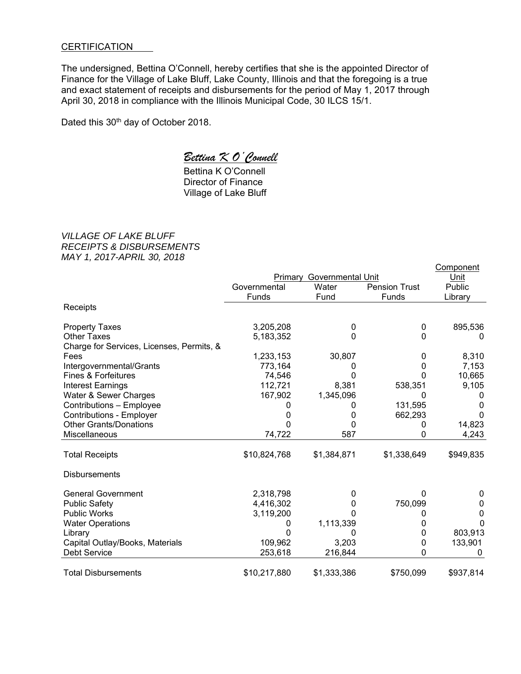## **CERTIFICATION**

The undersigned, Bettina O'Connell, hereby certifies that she is the appointed Director of Finance for the Village of Lake Bluff, Lake County, Illinois and that the foregoing is a true and exact statement of receipts and disbursements for the period of May 1, 2017 through April 30, 2018 in compliance with the Illinois Municipal Code, 30 ILCS 15/1.

Dated this 30<sup>th</sup> day of October 2018.

## *Bettina K O'Connell*

 Bettina K O'Connell Director of Finance Village of Lake Bluff

*VILLAGE OF LAKE BLUFF RECEIPTS & DISBURSEMENTS MAY 1, 2017-APRIL 30, 2018*

|                                           |                              |             |                      | Component |
|-------------------------------------------|------------------------------|-------------|----------------------|-----------|
|                                           | Governmental Unit<br>Primary |             |                      | Unit      |
|                                           | Governmental                 | Water       | <b>Pension Trust</b> | Public    |
|                                           | Funds                        | Fund        | Funds                | Library   |
| Receipts                                  |                              |             |                      |           |
| <b>Property Taxes</b>                     | 3,205,208                    | 0           | 0                    | 895,536   |
| <b>Other Taxes</b>                        | 5,183,352                    | 0           | 0                    | $\Omega$  |
| Charge for Services, Licenses, Permits, & |                              |             |                      |           |
| Fees                                      | 1,233,153                    | 30,807      | 0                    | 8,310     |
| Intergovernmental/Grants                  | 773,164                      | 0           | 0                    | 7,153     |
| <b>Fines &amp; Forfeitures</b>            | 74,546                       | 0           | 0                    | 10,665    |
| <b>Interest Earnings</b>                  | 112,721                      | 8,381       | 538,351              | 9,105     |
| Water & Sewer Charges                     | 167,902                      | 1,345,096   |                      | 0         |
| Contributions - Employee                  |                              | 0           | 131,595              | 0         |
| <b>Contributions - Employer</b>           |                              | $\Omega$    | 662,293              | 0         |
| <b>Other Grants/Donations</b>             |                              |             | 0                    | 14,823    |
| Miscellaneous                             | 74,722                       | 587         | 0                    | 4,243     |
| <b>Total Receipts</b>                     | \$10,824,768                 | \$1,384,871 | \$1,338,649          | \$949,835 |
|                                           |                              |             |                      |           |
| <b>Disbursements</b>                      |                              |             |                      |           |
| <b>General Government</b>                 | 2,318,798                    | 0           | O                    | 0         |
| <b>Public Safety</b>                      | 4,416,302                    | 0           | 750,099              | 0         |
| <b>Public Works</b>                       | 3,119,200                    |             |                      | 0         |
| <b>Water Operations</b>                   | 0                            | 1,113,339   |                      | 0         |
| Library                                   |                              |             | 0                    | 803,913   |
| Capital Outlay/Books, Materials           | 109,962                      | 3,203       | 0                    | 133,901   |
| <b>Debt Service</b>                       | 253,618                      | 216,844     | 0                    |           |
| <b>Total Disbursements</b>                | \$10,217,880                 | \$1,333,386 | \$750,099            | \$937,814 |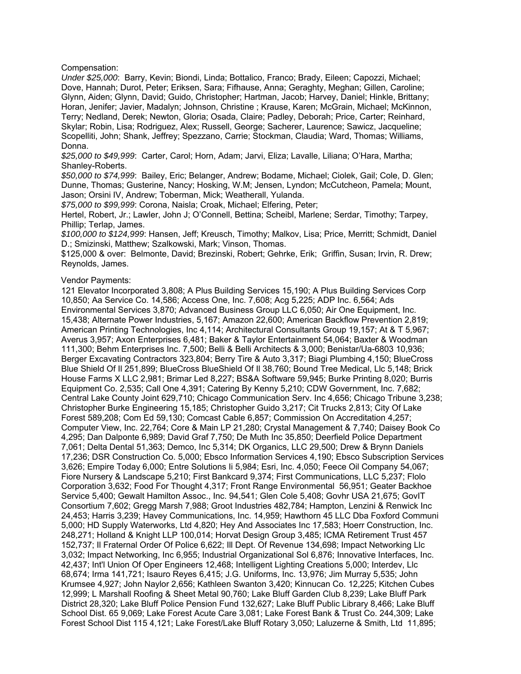Compensation:

*Under \$25,000*: Barry, Kevin; Biondi, Linda; Bottalico, Franco; Brady, Eileen; Capozzi, Michael; Dove, Hannah; Durot, Peter; Eriksen, Sara; Fifhause, Anna; Geraghty, Meghan; Gillen, Caroline; Glynn, Aiden; Glynn, David; Guido, Christopher; Hartman, Jacob; Harvey, Daniel; Hinkle, Brittany; Horan, Jenifer; Javier, Madalyn; Johnson, Christine ; Krause, Karen; McGrain, Michael; McKinnon, Terry; Nedland, Derek; Newton, Gloria; Osada, Claire; Padley, Deborah; Price, Carter; Reinhard, Skylar; Robin, Lisa; Rodriguez, Alex; Russell, George; Sacherer, Laurence; Sawicz, Jacqueline; Scopelliti, John; Shank, Jeffrey; Spezzano, Carrie; Stockman, Claudia; Ward, Thomas; Williams, Donna.

*\$25,000 to \$49,999*: Carter, Carol; Horn, Adam; Jarvi, Eliza; Lavalle, Liliana; O'Hara, Martha; Shanley-Roberts.

*\$50,000 to \$74,999*: Bailey, Eric; Belanger, Andrew; Bodame, Michael; Ciolek, Gail; Cole, D. Glen; Dunne, Thomas; Gusterine, Nancy; Hosking, W.M; Jensen, Lyndon; McCutcheon, Pamela; Mount, Jason; Orsini IV, Andrew; Toberman, Mick; Weatherall, Yulanda.

*\$75,000 to \$99,999*: Corona, Naisla; Croak, Michael; Elfering, Peter;

Hertel, Robert, Jr.; Lawler, John J; O'Connell, Bettina; Scheibl, Marlene; Serdar, Timothy; Tarpey, Phillip; Terlap, James.

*\$100,000 to \$124,999*: Hansen, Jeff; Kreusch, Timothy; Malkov, Lisa; Price, Merritt; Schmidt, Daniel D.; Smizinski, Matthew; Szalkowski, Mark; Vinson, Thomas.

\$125,000 & over: Belmonte, David; Brezinski, Robert; Gehrke, Erik; Griffin, Susan; Irvin, R. Drew; Reynolds, James.

## Vendor Payments:

121 Elevator Incorporated 3,808; A Plus Building Services 15,190; A Plus Building Services Corp 10,850; Aa Service Co. 14,586; Access One, Inc. 7,608; Acg 5,225; ADP Inc. 6,564; Ads Environmental Services 3,870; Advanced Business Group LLC 6,050; Air One Equipment, Inc. 15,438; Alternate Power Industries, 5,167; Amazon 22,600; American Backflow Prevention 2,819; American Printing Technologies, Inc 4,114; Architectural Consultants Group 19,157; At & T 5,967; Averus 3,957; Axon Enterprises 6,481; Baker & Taylor Entertainment 54,064; Baxter & Woodman 111,300; Behm Enterprises Inc. 7,500; Belli & Belli Architects & 3,000; Benistar/Ua-6803 10,936; Berger Excavating Contractors 323,804; Berry Tire & Auto 3,317; Biagi Plumbing 4,150; BlueCross Blue Shield Of Il 251,899; BlueCross BlueShield Of Il 38,760; Bound Tree Medical, Llc 5,148; Brick House Farms X LLC 2,981; Brimar Led 8,227; BS&A Software 59,945; Burke Printing 8,020; Burris Equipment Co. 2,535; Call One 4,391; Catering By Kenny 5,210; CDW Government, Inc. 7,682; Central Lake County Joint 629,710; Chicago Communication Serv. Inc 4,656; Chicago Tribune 3,238; Christopher Burke Engineering 15,185; Christopher Guido 3,217; Cit Trucks 2,813; City Of Lake Forest 589,208; Com Ed 59,130; Comcast Cable 6,857; Commission On Accreditation 4,257; Computer View, Inc. 22,764; Core & Main LP 21,280; Crystal Management & 7,740; Daisey Book Co 4,295; Dan Dalponte 6,989; David Graf 7,750; De Muth Inc 35,850; Deerfield Police Department 7,061; Delta Dental 51,363; Demco, Inc 5,314; DK Organics, LLC 29,500; Drew & Brynn Daniels 17,236; DSR Construction Co. 5,000; Ebsco Information Services 4,190; Ebsco Subscription Services 3,626; Empire Today 6,000; Entre Solutions Ii 5,984; Esri, Inc. 4,050; Feece Oil Company 54,067; Fiore Nursery & Landscape 5,210; First Bankcard 9,374; First Communications, LLC 5,237; Flolo Corporation 3,632; Food For Thought 4,317; Front Range Environmental 56,951; Geater Backhoe Service 5,400; Gewalt Hamilton Assoc., Inc. 94,541; Glen Cole 5,408; Govhr USA 21,675; GovIT Consortium 7,602; Gregg Marsh 7,988; Groot Industries 482,784; Hampton, Lenzini & Renwick Inc 24,453; Harris 3,239; Havey Communications, Inc. 14,959; Hawthorn 45 LLC Dba Foxford Communi 5,000; HD Supply Waterworks, Ltd 4,820; Hey And Associates Inc 17,583; Hoerr Construction, Inc. 248,271; Holland & Knight LLP 100,014; Horvat Design Group 3,485; ICMA Retirement Trust 457 152,737; Il Fraternal Order Of Police 6,622; Ill Dept. Of Revenue 134,698; Impact Networking Llc 3,032; Impact Networking, Inc 6,955; Industrial Organizational Sol 6,876; Innovative Interfaces, Inc. 42,437; Int'l Union Of Oper Engineers 12,468; Intelligent Lighting Creations 5,000; Interdev, Llc 68,674; Irma 141,721; Isauro Reyes 6,415; J.G. Uniforms, Inc. 13,976; Jim Murray 5,535; John Krumsee 4,927; John Naylor 2,656; Kathleen Swanton 3,420; Kinnucan Co. 12,225; Kitchen Cubes 12,999; L Marshall Roofing & Sheet Metal 90,760; Lake Bluff Garden Club 8,239; Lake Bluff Park District 28,320; Lake Bluff Police Pension Fund 132,627; Lake Bluff Public Library 8,466; Lake Bluff School Dist. 65 9,069; Lake Forest Acute Care 3,081; Lake Forest Bank & Trust Co. 244,309; Lake Forest School Dist 115 4,121; Lake Forest/Lake Bluff Rotary 3,050; Laluzerne & Smith, Ltd 11,895;